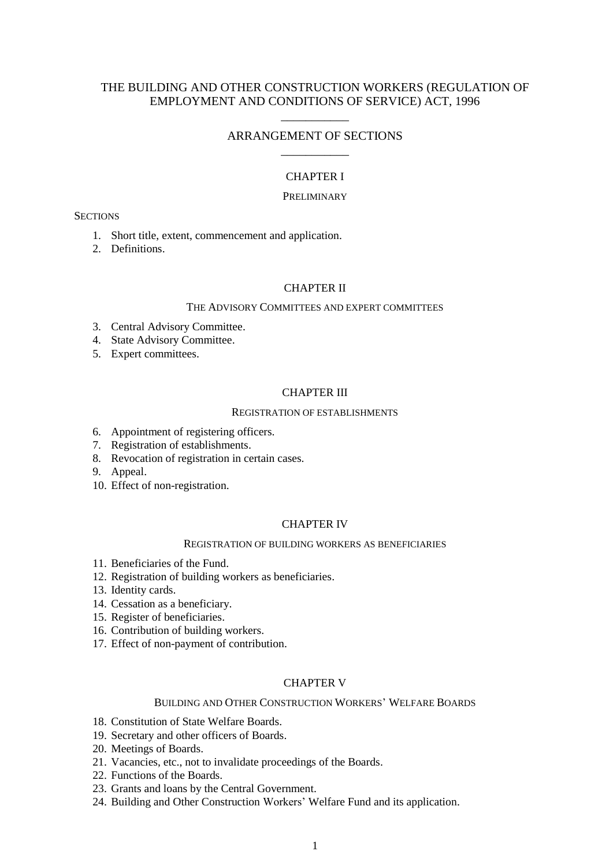# THE BUILDING AND OTHER CONSTRUCTION WORKERS (REGULATION OF EMPLOYMENT AND CONDITIONS OF SERVICE) ACT, 1996

\_\_\_\_\_\_\_\_\_\_\_

# ARRANGEMENT OF SECTIONS  $\overline{\phantom{a}}$

# [CHAPTER I](http://clc.gov.in/Acts/shtm/bocw.php#CHAPTER I)

### P[RELIMINARY](http://clc.gov.in/Acts/shtm/bocw.php#PRELIMINARY)

### **SECTIONS**

- 1. [Short title, extent, commencement and application.](http://clc.gov.in/Acts/shtm/bocw.php#Short title, extent, commencement)
- 2. [Definitions.](http://clc.gov.in/Acts/shtm/bocw.php#Definitions.)

## [CHAPTER II](http://clc.gov.in/Acts/shtm/bocw.php#CHAPTER II)

## THE ADVISORY C[OMMITTEES AND EXPERT COMMITTEES](http://clc.gov.in/Acts/shtm/bocw.php#THE ADVISORY COMMITTEES AND EXPERT COMMITTEES)

- 3. [Central Advisory Committee.](http://clc.gov.in/Acts/shtm/bocw.php#Central Advisory Committee)
- 4. [State Advisory Committee.](http://clc.gov.in/Acts/shtm/bocw.php#State Advisory Committee)
- 5. [Expert committees.](http://clc.gov.in/Acts/shtm/bocw.php#Expert Committees)

### [CHAPTER III](http://clc.gov.in/Acts/shtm/bocw.php#CHAPTER III)

#### R[EGISTRATION OF ESTABLISHMENTS](http://clc.gov.in/Acts/shtm/bocw.php#REGISTRATION OF ESTABLISHMENTS)

- 6. [Appointment of registering officers.](http://clc.gov.in/Acts/shtm/bocw.php#Appointment of registering officers)
- 7. [Registration of establishments.](http://clc.gov.in/Acts/shtm/bocw.php#REGISTRATION OF ESTABLISHMENTS)
- 8. [Revocation of registration in certain cases.](http://clc.gov.in/Acts/shtm/bocw.php#Revocation of registration in certain cases)
- 9. [Appeal.](http://clc.gov.in/Acts/shtm/bocw.php#Appeal)
- 10. [Effect of non-registration.](http://clc.gov.in/Acts/shtm/bocw.php#Effect of non-registration)

#### [CHAPTER IV](http://clc.gov.in/Acts/shtm/bocw.php#CHAPTER IV)

## R[EGISTRATION OF BUILDING WORKERS AS BENEFICIARIES](http://clc.gov.in/Acts/shtm/bocw.php#REGISTRATION OF BUILDING WORKERS AS BENEFICIARIES)

- 11. [Beneficiaries of the Fund.](http://clc.gov.in/Acts/shtm/bocw.php#Beneficiaries of the Fund.)
- 12. [Registration of building workers as beneficiaries.](http://clc.gov.in/Acts/shtm/bocw.php#Registration of building workers as)
- 13. [Identity cards.](http://clc.gov.in/Acts/shtm/bocw.php#Identity cards)
- 14. [Cessation as a beneficiary.](http://clc.gov.in/Acts/shtm/bocw.php#Cessation as a beneficiary)
- 15. [Register of beneficiaries.](http://clc.gov.in/Acts/shtm/bocw.php#Register of beneficiaries)
- 16. [Contribution of building workers.](http://clc.gov.in/Acts/shtm/bocw.php#Contribution of building workers)
- 17. [Effect of non-payment of contribution.](http://clc.gov.in/Acts/shtm/bocw.php#Effect of non-payment of contribution)

### [CHAPTER V](http://clc.gov.in/Acts/shtm/bocw.php#CHAPTER V)

# BUILDING AND OTHER C[ONSTRUCTION](http://clc.gov.in/Acts/shtm/bocw.php#BUILDING AND OTHER CONSTRUCTION WORKERS) WORKERS' WELFARE BOARDS

- 18. [Constitution of State Welfare Boards.](http://clc.gov.in/Acts/shtm/bocw.php#Constitution of State Welfare Boards.)
- 19. [Secretary and other officers of Boards.](http://clc.gov.in/Acts/shtm/bocw.php#Secretary and other officers of Boards)
- 20. [Meetings of Boards](http://clc.gov.in/Acts/shtm/bocw.php#Meetings of Board).
- 21. [Vacancies, etc., not to invalidate proceedings of the Boards.](http://clc.gov.in/Acts/shtm/bocw.php#Vacancies)
- 22. [Functions of the Boards.](http://clc.gov.in/Acts/shtm/bocw.php#Functions of the Boards)
- 23. [Grants and loans by the Central Government.](http://clc.gov.in/Acts/shtm/bocw.php#Grants and loans by the Central Government)
- 24. [Building and Other Construction Workers'](http://clc.gov.in/Acts/shtm/bocw.php#Building and Other Construction Workers welfare) Welfare Fund and its application.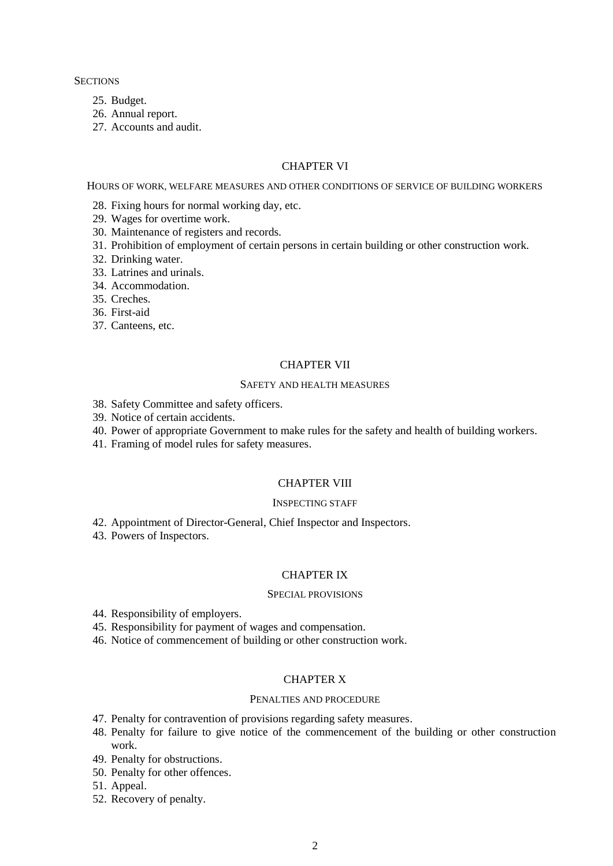**SECTIONS** 

- 25. [Budget.](http://clc.gov.in/Acts/shtm/bocw.php#Budget)
- 26. [Annual report.](http://clc.gov.in/Acts/shtm/bocw.php#Annual report)
- 27. [Accounts and audit.](http://clc.gov.in/Acts/shtm/bocw.php#Accounts and audit)

# [CHAPTER VI](http://clc.gov.in/Acts/shtm/bocw.php#CHAPTER VI)

H[OURS OF WORK, WELFARE MEASURES AND OTHER CONDITIONS OF SERVICE OF BUILDING WORKERS](http://clc.gov.in/Acts/shtm/bocw.php#HOURS OF WORK, WELFARE MEASURES AND OTHER CONDITIONS OF SERVICE OF BUILDING WORKERS)

- 28. [Fixing hours for normal working day, etc.](http://clc.gov.in/Acts/shtm/bocw.php#Fixing hours for normal working day)
- 29. [Wages for overtime work.](http://clc.gov.in/Acts/shtm/bocw.php#Wages for overtime work)
- 30. [Maintenance of registers and records.](http://clc.gov.in/Acts/shtm/bocw.php#Maintenance of registers and records)
- 31. [Prohibition of employment of certain persons in certain building or other construction](http://clc.gov.in/Acts/shtm/bocw.php#Prohibition of employment of certain persons in certain building or other construction work) work.
- 32. [Drinking water.](http://clc.gov.in/Acts/shtm/bocw.php#Drinking water)
- 33. [Latrines and urinals.](http://clc.gov.in/Acts/shtm/bocw.php#Latrines and urinals)
- 34. [Accommodation.](http://clc.gov.in/Acts/shtm/bocw.php#Accommodation)
- 35. [Creches.](http://clc.gov.in/Acts/shtm/bocw.php#Creches)
- 36. [First-aid](http://clc.gov.in/Acts/shtm/bocw.php#First-aid)
- 37. [Canteens,](http://clc.gov.in/Acts/shtm/bocw.php#Canteens) etc.

# [CHAPTER VII](http://clc.gov.in/Acts/shtm/bocw.php#CHAPTER VII)

### S[AFETY AND HEALTH MEASURES](http://clc.gov.in/Acts/shtm/bocw.php#SAFETY AND HEALTH MEASURES)

- 38. [Safety Committee and safety officers.](http://clc.gov.in/Acts/shtm/bocw.php#Safety Committee and safety officers)
- 39. [Notice of certain accidents.](http://clc.gov.in/Acts/shtm/bocw.php#Notice of certain accidents)
- 40. [Power of appropriate Government to make rules for the safety and health of building workers](http://clc.gov.in/Acts/shtm/bocw.php#Power of appropriate Government to makes rules for the safety and health of building workers).
- 41. Framing of [model rules for safety measures.](http://clc.gov.in/Acts/shtm/bocw.php#Framing of model rules for safety measures)

# [CHAPTER VIII](http://clc.gov.in/Acts/shtm/bocw.php#CHAPTER VIII)

### I[NSPECTING STAFF](http://clc.gov.in/Acts/shtm/bocw.php#INSPECTING STAFF)

- 42. [Appointment of Director-General, Chief Inspector and Inspectors.](http://clc.gov.in/Acts/shtm/bocw.php#Appointment of Director-General, Chief Inspector and Inspectors)
- 43. [Powers of Inspectors.](http://clc.gov.in/Acts/shtm/bocw.php#Powers of Inspectors)

#### [CHAPTER IX](http://clc.gov.in/Acts/shtm/bocw.php#CHAPTER IX)

#### SPECIAL PROVISIONS

- 44. [Responsibility of employers.](http://clc.gov.in/Acts/shtm/bocw.php#Responsibility of employers)
- 45. [Responsibility for payment of wages and compensation.](http://clc.gov.in/Acts/shtm/bocw.php#Responsibility for payment of wages and compensation)
- 46. [Notice of commencement of building or other construction work.](http://clc.gov.in/Acts/shtm/bocw.php#Notice of commencement of building or other construction work)

## [CHAPTER X](http://clc.gov.in/Acts/shtm/bocw.php#CHAPTER X)

#### P[ENALTIES AND PROCEDURE](http://clc.gov.in/Acts/shtm/bocw.php#PENALTIES AND PROCEDURE)

- 47. [Penalty for contravention of provisions regarding safety measures.](http://clc.gov.in/Acts/shtm/bocw.php#Penalty for contravention of provisions regarding safety measures)
- 48. [Penalty for failure to give notice of the commencement of the building or other construction](http://clc.gov.in/Acts/shtm/bocw.php#Penalty for failure to give notice of the commencement of the building or other construction work)  [work.](http://clc.gov.in/Acts/shtm/bocw.php#Penalty for failure to give notice of the commencement of the building or other construction work)
- 49. [Penalty for obstructions.](http://clc.gov.in/Acts/shtm/bocw.php#Penalty for obstructions)
- 50. [Penalty for other offences.](http://clc.gov.in/Acts/shtm/bocw.php#Penalty for other offences)
- 51. [Appeal.](http://clc.gov.in/Acts/shtm/bocw.php#51.Appeal)
- 52. [Recovery of penalty.](http://clc.gov.in/Acts/shtm/bocw.php#52. Recovery of penalty)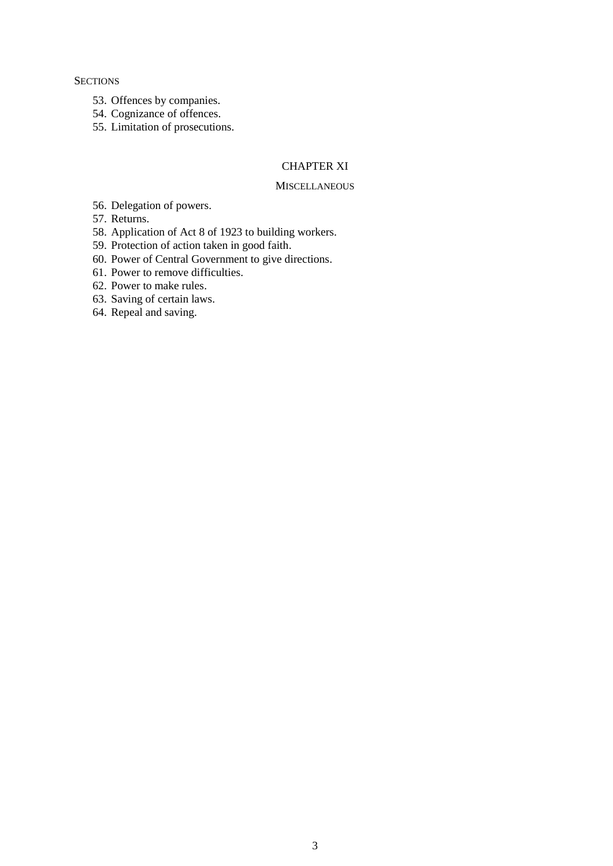### **SECTIONS**

- 53. [Offences by](http://clc.gov.in/Acts/shtm/bocw.php#53. Offences by companies) companies.
- 54. [Cognizance of offences.](http://clc.gov.in/Acts/shtm/bocw.php#54. Cognizance of offences.)
- 55. [Limitation of prosecutions.](http://clc.gov.in/Acts/shtm/bocw.php#55. Limitation of prosecutions)

# [CHAPTER XI](http://clc.gov.in/Acts/shtm/bocw.php#CHAPTER XI)

# **M[ISCELLANEOUS](http://clc.gov.in/Acts/shtm/bocw.php#MISCELLANEOUS)**

56. [Delegation of powers.](http://clc.gov.in/Acts/shtm/bocw.php#56. Delegation of powers)

57. [Returns.](http://clc.gov.in/Acts/shtm/bocw.php#57. Returns)

- 58. [Application of Act 8 of](http://clc.gov.in/Acts/shtm/bocw.php#58. Application of Act 8 of 1923 to building workers) 1923 to building workers.
- 59. [Protection of action taken in good faith.](http://clc.gov.in/Acts/shtm/bocw.php#59. Protection of action taken in good faith)
- 60. [Power of Central Government to give directions.](http://clc.gov.in/Acts/shtm/bocw.php#60. Power of Central Government to give directions)
- 61. [Power to remove difficulties.](http://clc.gov.in/Acts/shtm/bocw.php#61. Power to remove difficulties)
- 62. [Power to make rules.](http://clc.gov.in/Acts/shtm/bocw.php#62. Power to make rules)
- 63. [Saving of certain laws.](http://clc.gov.in/Acts/shtm/bocw.php#63. Saving of certain laws)
- 64. [Repeal and saving.](http://clc.gov.in/Acts/shtm/bocw.php#64. Repeal and saving)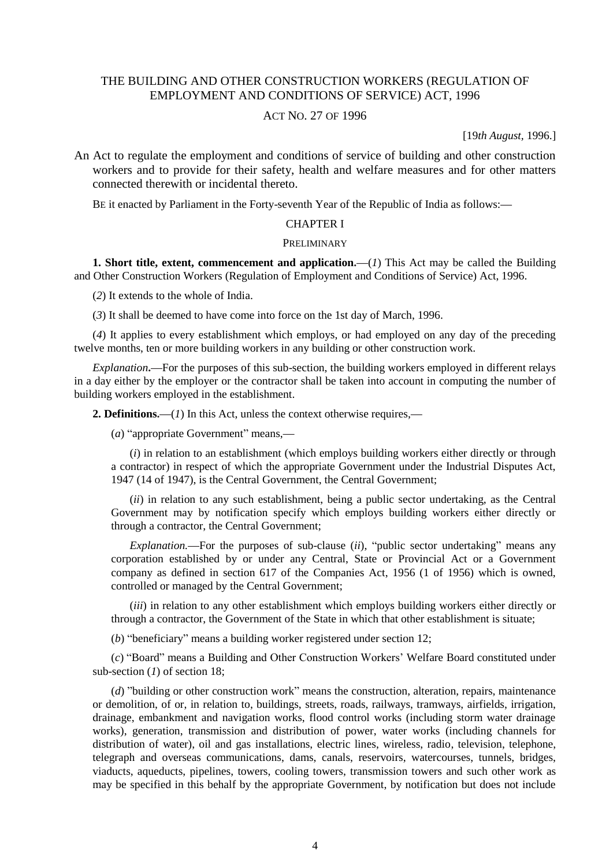# THE BUILDING AND OTHER CONSTRUCTION WORKERS (REGULATION OF EMPLOYMENT AND CONDITIONS OF SERVICE) ACT, 1996

# ACT NO. 27 OF 1996

[19*th August,* 1996.]

An Act to regulate the employment and conditions of service of building and other construction workers and to provide for their safety, health and welfare measures and for other matters connected therewith or incidental thereto.

BE it enacted by Parliament in the Forty-seventh Year of the Republic of India as follows:**—**

# CHAPTER I

## **PRELIMINARY**

**1. Short title, extent, commencement and application.—**(*1*) This Act may be called the Building and Other Construction Workers (Regulation of Employment and Conditions of Service) Act, 1996.

(*2*) It extends to the whole of India.

(*3*) It shall be deemed to have come into force on the 1st day of March, 1996.

(*4*) It applies to every establishment which employs, or had employed on any day of the preceding twelve months, ten or more building workers in any building or other construction work.

*Explanation***.—**For the purposes of this sub-section, the building workers employed in different relays in a day either by the employer or the contractor shall be taken into account in computing the number of building workers employed in the establishment.

**2. Definitions.—**(*1*) In this Act, unless the context otherwise requires,**—**

(*a*) "appropriate Government" means,**—**

(*i*) in relation to an establishment (which employs building workers either directly or through a contractor) in respect of which the appropriate Government under the Industrial Disputes Act, 1947 (14 of 1947), is the Central Government, the Central Government;

(*ii*) in relation to any such establishment, being a public sector undertaking, as the Central Government may by notification specify which employs building workers either directly or through a contractor, the Central Government;

*Explanation.***—**For the purposes of sub-clause (*ii*), "public sector undertaking" means any corporation established by or under any Central, State or Provincial Act or a Government company as defined in section 617 of the Companies Act, 1956 (1 of 1956) which is owned, controlled or managed by the Central Government;

(*iii*) in relation to any other establishment which employs building workers either directly or through a contractor, the Government of the State in which that other establishment is situate;

(*b*) "beneficiary" means a building worker registered under section 12;

(*c*) "Board" means a Building and Other Construction Workers' Welfare Board constituted under sub-section (*1*) of section 18;

(*d*) "building or other construction work" means the construction, alteration, repairs, maintenance or demolition, of or, in relation to, buildings, streets, roads, railways, tramways, airfields, irrigation, drainage, embankment and navigation works, flood control works (including storm water drainage works), generation, transmission and distribution of power, water works (including channels for distribution of water), oil and gas installations, electric lines, wireless, radio, television, telephone, telegraph and overseas communications, dams, canals, reservoirs, watercourses, tunnels, bridges, viaducts, aqueducts, pipelines, towers, cooling towers, transmission towers and such other work as may be specified in this behalf by the appropriate Government, by notification but does not include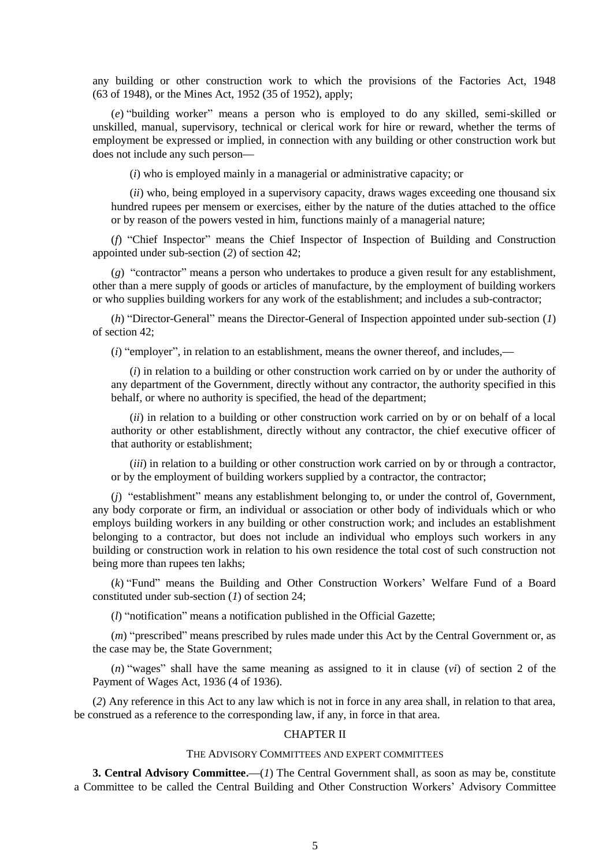any building or other construction work to which the provisions of the Factories Act, 1948 (63 of 1948), or the Mines Act, 1952 (35 of 1952), apply;

(*e*) "building worker" means a person who is employed to do any skilled, semi-skilled or unskilled, manual, supervisory, technical or clerical work for hire or reward, whether the terms of employment be expressed or implied, in connection with any building or other construction work but does not include any such person**—**

(*i*) who is employed mainly in a managerial or administrative capacity; or

(*ii*) who, being employed in a supervisory capacity, draws wages exceeding one thousand six hundred rupees per mensem or exercises, either by the nature of the duties attached to the office or by reason of the powers vested in him, functions mainly of a managerial nature;

(*f*) "Chief Inspector" means the Chief Inspector of Inspection of Building and Construction appointed under sub-section (*2*) of section 42;

(*g*) "contractor" means a person who undertakes to produce a given result for any establishment, other than a mere supply of goods or articles of manufacture, by the employment of building workers or who supplies building workers for any work of the establishment; and includes a sub-contractor;

(*h*) "Director-General" means the Director-General of Inspection appointed under sub-section (*1*) of section 42;

(*i*) "employer", in relation to an establishment, means the owner thereof, and includes,**—**

(*i*) in relation to a building or other construction work carried on by or under the authority of any department of the Government, directly without any contractor, the authority specified in this behalf, or where no authority is specified, the head of the department;

(*ii*) in relation to a building or other construction work carried on by or on behalf of a local authority or other establishment, directly without any contractor, the chief executive officer of that authority or establishment;

(*iii*) in relation to a building or other construction work carried on by or through a contractor, or by the employment of building workers supplied by a contractor, the contractor;

(*j*) "establishment" means any establishment belonging to, or under the control of, Government, any body corporate or firm, an individual or association or other body of individuals which or who employs building workers in any building or other construction work; and includes an establishment belonging to a contractor, but does not include an individual who employs such workers in any building or construction work in relation to his own residence the total cost of such construction not being more than rupees ten lakhs;

(*k*) "Fund" means the Building and Other Construction Workers' Welfare Fund of a Board constituted under sub-section (*1*) of section 24;

(*l*) "notification" means a notification published in the Official Gazette;

(*m*) "prescribed" means prescribed by rules made under this Act by the Central Government or, as the case may be, the State Government;

(*n*) "wages" shall have the same meaning as assigned to it in clause (*vi*) of section 2 of the Payment of Wages Act, 1936 (4 of 1936).

(*2*) Any reference in this Act to any law which is not in force in any area shall, in relation to that area, be construed as a reference to the corresponding law, if any, in force in that area.

### CHAPTER II

### THE ADVISORY COMMITTEES AND EXPERT COMMITTEES

**3. Central Advisory Committee.—**(*1*) The Central Government shall, as soon as may be, constitute a Committee to be called the Central Building and Other Construction Workers' Advisory Committee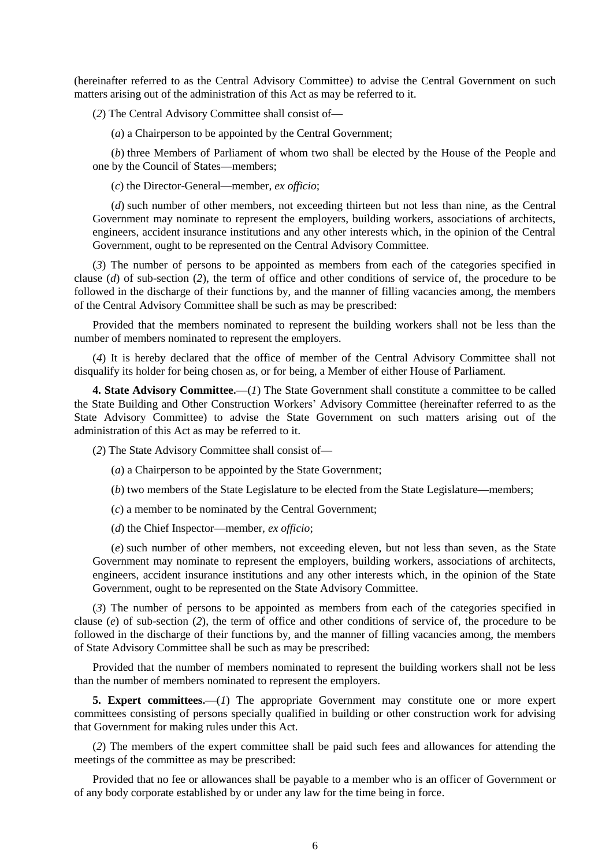(hereinafter referred to as the Central Advisory Committee) to advise the Central Government on such matters arising out of the administration of this Act as may be referred to it.

(*2*) The Central Advisory Committee shall consist of**—**

(*a*) a Chairperson to be appointed by the Central Government;

(*b*) three Members of Parliament of whom two shall be elected by the House of the People and one by the Council of States**—**members;

(*c*) the Director-General**—**member, *ex officio*;

(*d*) such number of other members, not exceeding thirteen but not less than nine, as the Central Government may nominate to represent the employers, building workers, associations of architects, engineers, accident insurance institutions and any other interests which, in the opinion of the Central Government, ought to be represented on the Central Advisory Committee.

(*3*) The number of persons to be appointed as members from each of the categories specified in clause (*d*) of sub-section (*2*), the term of office and other conditions of service of, the procedure to be followed in the discharge of their functions by, and the manner of filling vacancies among, the members of the Central Advisory Committee shall be such as may be prescribed:

Provided that the members nominated to represent the building workers shall not be less than the number of members nominated to represent the employers.

(*4*) It is hereby declared that the office of member of the Central Advisory Committee shall not disqualify its holder for being chosen as, or for being, a Member of either House of Parliament.

**4. State Advisory Committee.—**(*1*) The State Government shall constitute a committee to be called the State Building and Other Construction Workers' Advisory Committee (hereinafter referred to as the State Advisory Committee) to advise the State Government on such matters arising out of the administration of this Act as may be referred to it.

(*2*) The State Advisory Committee shall consist of**—**

- (*a*) a Chairperson to be appointed by the State Government;
- (*b*) two members of the State Legislature to be elected from the State Legislature**—**members;
- (*c*) a member to be nominated by the Central Government;
- (*d*) the Chief Inspector**—**member*, ex officio*;

(*e*) such number of other members, not exceeding eleven, but not less than seven, as the State Government may nominate to represent the employers, building workers, associations of architects, engineers, accident insurance institutions and any other interests which, in the opinion of the State Government, ought to be represented on the State Advisory Committee.

(*3*) The number of persons to be appointed as members from each of the categories specified in clause (*e*) of sub-section (*2*), the term of office and other conditions of service of, the procedure to be followed in the discharge of their functions by, and the manner of filling vacancies among, the members of State Advisory Committee shall be such as may be prescribed:

Provided that the number of members nominated to represent the building workers shall not be less than the number of members nominated to represent the employers.

**5. Expert committees.—**(*1*) The appropriate Government may constitute one or more expert committees consisting of persons specially qualified in building or other construction work for advising that Government for making rules under this Act.

(*2*) The members of the expert committee shall be paid such fees and allowances for attending the meetings of the committee as may be prescribed:

Provided that no fee or allowances shall be payable to a member who is an officer of Government or of any body corporate established by or under any law for the time being in force.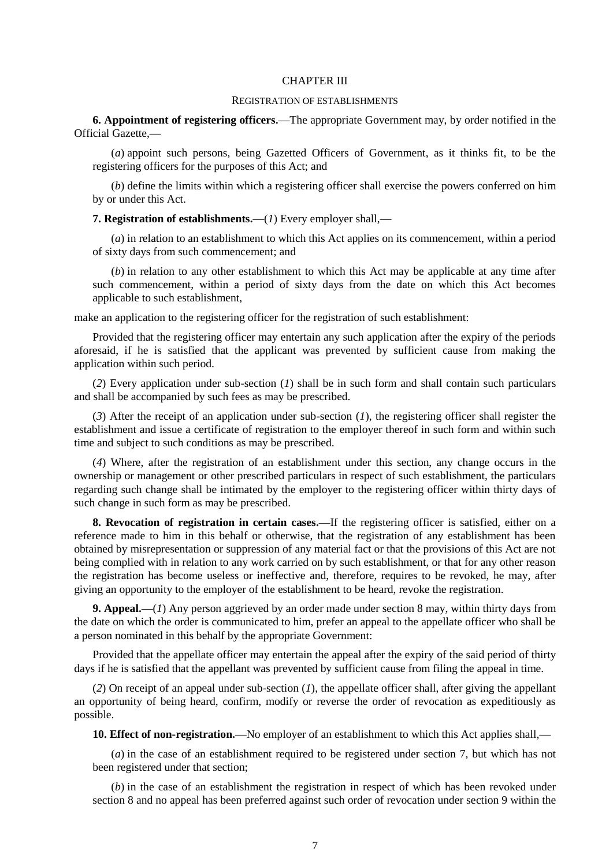#### CHAPTER III

#### REGISTRATION OF ESTABLISHMENTS

**6. Appointment of registering officers.—**The appropriate Government may, by order notified in the Official Gazette,**—**

(*a*) appoint such persons, being Gazetted Officers of Government, as it thinks fit, to be the registering officers for the purposes of this Act; and

(*b*) define the limits within which a registering officer shall exercise the powers conferred on him by or under this Act.

**7. Registration of establishments.—**(*1*) Every employer shall,**—**

(*a*) in relation to an establishment to which this Act applies on its commencement, within a period of sixty days from such commencement; and

(*b*) in relation to any other establishment to which this Act may be applicable at any time after such commencement, within a period of sixty days from the date on which this Act becomes applicable to such establishment,

make an application to the registering officer for the registration of such establishment:

Provided that the registering officer may entertain any such application after the expiry of the periods aforesaid, if he is satisfied that the applicant was prevented by sufficient cause from making the application within such period.

(*2*) Every application under sub-section (*1*) shall be in such form and shall contain such particulars and shall be accompanied by such fees as may be prescribed.

(*3*) After the receipt of an application under sub-section (*1*), the registering officer shall register the establishment and issue a certificate of registration to the employer thereof in such form and within such time and subject to such conditions as may be prescribed.

(*4*) Where, after the registration of an establishment under this section, any change occurs in the ownership or management or other prescribed particulars in respect of such establishment, the particulars regarding such change shall be intimated by the employer to the registering officer within thirty days of such change in such form as may be prescribed.

**8. Revocation of registration in certain cases.—**If the registering officer is satisfied, either on a reference made to him in this behalf or otherwise, that the registration of any establishment has been obtained by misrepresentation or suppression of any material fact or that the provisions of this Act are not being complied with in relation to any work carried on by such establishment, or that for any other reason the registration has become useless or ineffective and, therefore, requires to be revoked, he may, after giving an opportunity to the employer of the establishment to be heard, revoke the registration.

**9. Appeal.—**(*1*) Any person aggrieved by an order made under section 8 may, within thirty days from the date on which the order is communicated to him, prefer an appeal to the appellate officer who shall be a person nominated in this behalf by the appropriate Government:

Provided that the appellate officer may entertain the appeal after the expiry of the said period of thirty days if he is satisfied that the appellant was prevented by sufficient cause from filing the appeal in time.

(*2*) On receipt of an appeal under sub-section (*1*), the appellate officer shall, after giving the appellant an opportunity of being heard, confirm, modify or reverse the order of revocation as expeditiously as possible.

**10. Effect of non-registration.—**No employer of an establishment to which this Act applies shall,**—**

(*a*) in the case of an establishment required to be registered under section 7, but which has not been registered under that section;

(*b*) in the case of an establishment the registration in respect of which has been revoked under section 8 and no appeal has been preferred against such order of revocation under section 9 within the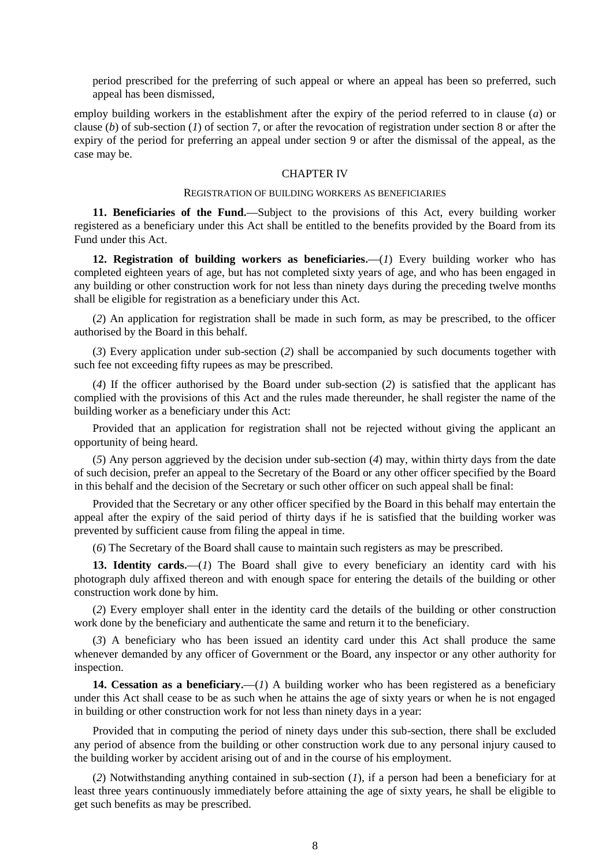period prescribed for the preferring of such appeal or where an appeal has been so preferred, such appeal has been dismissed,

employ building workers in the establishment after the expiry of the period referred to in clause (*a*) or clause (*b*) of sub-section (*1*) of section 7, or after the revocation of registration under section 8 or after the expiry of the period for preferring an appeal under section 9 or after the dismissal of the appeal, as the case may be.

## CHAPTER IV

#### REGISTRATION OF BUILDING WORKERS AS BENEFICIARIES

**11. Beneficiaries of the Fund.—**Subject to the provisions of this Act, every building worker registered as a beneficiary under this Act shall be entitled to the benefits provided by the Board from its Fund under this Act.

**12. Registration of building workers as beneficiaries.—**(*1*) Every building worker who has completed eighteen years of age, but has not completed sixty years of age, and who has been engaged in any building or other construction work for not less than ninety days during the preceding twelve months shall be eligible for registration as a beneficiary under this Act.

(*2*) An application for registration shall be made in such form, as may be prescribed, to the officer authorised by the Board in this behalf.

(*3*) Every application under sub-section (*2*) shall be accompanied by such documents together with such fee not exceeding fifty rupees as may be prescribed.

(*4*) If the officer authorised by the Board under sub-section (*2*) is satisfied that the applicant has complied with the provisions of this Act and the rules made thereunder, he shall register the name of the building worker as a beneficiary under this Act:

Provided that an application for registration shall not be rejected without giving the applicant an opportunity of being heard.

(*5*) Any person aggrieved by the decision under sub-section (*4*) may, within thirty days from the date of such decision, prefer an appeal to the Secretary of the Board or any other officer specified by the Board in this behalf and the decision of the Secretary or such other officer on such appeal shall be final:

Provided that the Secretary or any other officer specified by the Board in this behalf may entertain the appeal after the expiry of the said period of thirty days if he is satisfied that the building worker was prevented by sufficient cause from filing the appeal in time.

(*6*) The Secretary of the Board shall cause to maintain such registers as may be prescribed.

**13. Identity cards.—**(*1*) The Board shall give to every beneficiary an identity card with his photograph duly affixed thereon and with enough space for entering the details of the building or other construction work done by him.

(*2*) Every employer shall enter in the identity card the details of the building or other construction work done by the beneficiary and authenticate the same and return it to the beneficiary.

(*3*) A beneficiary who has been issued an identity card under this Act shall produce the same whenever demanded by any officer of Government or the Board, any inspector or any other authority for inspection.

**14. Cessation as a beneficiary.—**(*1*) A building worker who has been registered as a beneficiary under this Act shall cease to be as such when he attains the age of sixty years or when he is not engaged in building or other construction work for not less than ninety days in a year:

Provided that in computing the period of ninety days under this sub-section, there shall be excluded any period of absence from the building or other construction work due to any personal injury caused to the building worker by accident arising out of and in the course of his employment.

(*2*) Notwithstanding anything contained in sub-section (*1*), if a person had been a beneficiary for at least three years continuously immediately before attaining the age of sixty years, he shall be eligible to get such benefits as may be prescribed.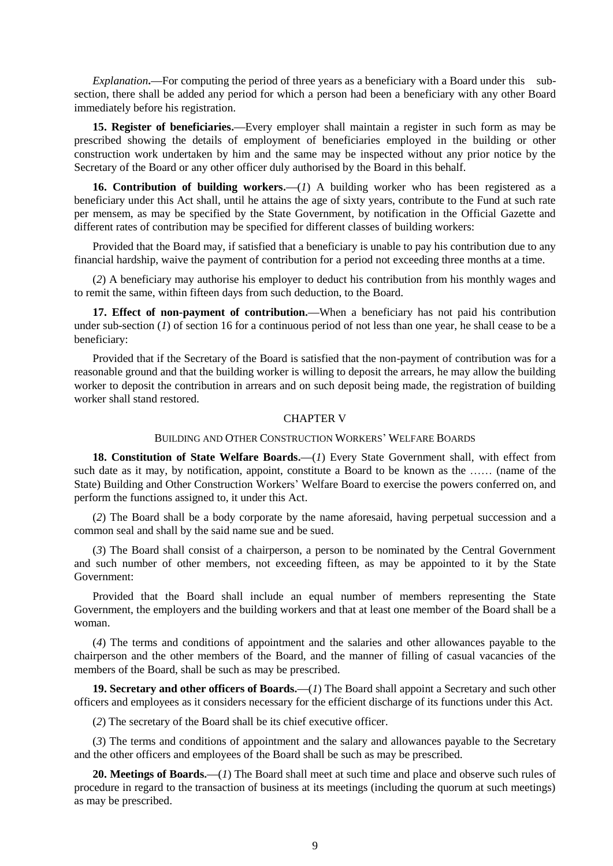*Explanation*.—For computing the period of three years as a beneficiary with a Board under this subsection, there shall be added any period for which a person had been a beneficiary with any other Board immediately before his registration.

**15. Register of beneficiaries.—**Every employer shall maintain a register in such form as may be prescribed showing the details of employment of beneficiaries employed in the building or other construction work undertaken by him and the same may be inspected without any prior notice by the Secretary of the Board or any other officer duly authorised by the Board in this behalf.

**16. Contribution of building workers.—**(*1*) A building worker who has been registered as a beneficiary under this Act shall, until he attains the age of sixty years, contribute to the Fund at such rate per mensem, as may be specified by the State Government, by notification in the Official Gazette and different rates of contribution may be specified for different classes of building workers:

Provided that the Board may, if satisfied that a beneficiary is unable to pay his contribution due to any financial hardship, waive the payment of contribution for a period not exceeding three months at a time.

(*2*) A beneficiary may authorise his employer to deduct his contribution from his monthly wages and to remit the same, within fifteen days from such deduction, to the Board.

**17. Effect of non-payment of contribution.—**When a beneficiary has not paid his contribution under sub-section (*I*) of section 16 for a continuous period of not less than one year, he shall cease to be a beneficiary:

Provided that if the Secretary of the Board is satisfied that the non-payment of contribution was for a reasonable ground and that the building worker is willing to deposit the arrears, he may allow the building worker to deposit the contribution in arrears and on such deposit being made, the registration of building worker shall stand restored.

### CHAPTER V

### BUILDING AND OTHER CONSTRUCTION WORKERS' WELFARE BOARDS

**18. Constitution of State Welfare Boards.—**(*1*) Every State Government shall, with effect from such date as it may, by notification, appoint, constitute a Board to be known as the …… (name of the State) Building and Other Construction Workers' Welfare Board to exercise the powers conferred on, and perform the functions assigned to, it under this Act.

(*2*) The Board shall be a body corporate by the name aforesaid, having perpetual succession and a common seal and shall by the said name sue and be sued.

(*3*) The Board shall consist of a chairperson, a person to be nominated by the Central Government and such number of other members, not exceeding fifteen, as may be appointed to it by the State Government:

Provided that the Board shall include an equal number of members representing the State Government, the employers and the building workers and that at least one member of the Board shall be a woman.

(*4*) The terms and conditions of appointment and the salaries and other allowances payable to the chairperson and the other members of the Board, and the manner of filling of casual vacancies of the members of the Board, shall be such as may be prescribed.

**19. Secretary and other officers of Boards.—**(*1*) The Board shall appoint a Secretary and such other officers and employees as it considers necessary for the efficient discharge of its functions under this Act.

(*2*) The secretary of the Board shall be its chief executive officer.

(*3*) The terms and conditions of appointment and the salary and allowances payable to the Secretary and the other officers and employees of the Board shall be such as may be prescribed.

**20. Meetings of Boards.—**(*1*) The Board shall meet at such time and place and observe such rules of procedure in regard to the transaction of business at its meetings (including the quorum at such meetings) as may be prescribed.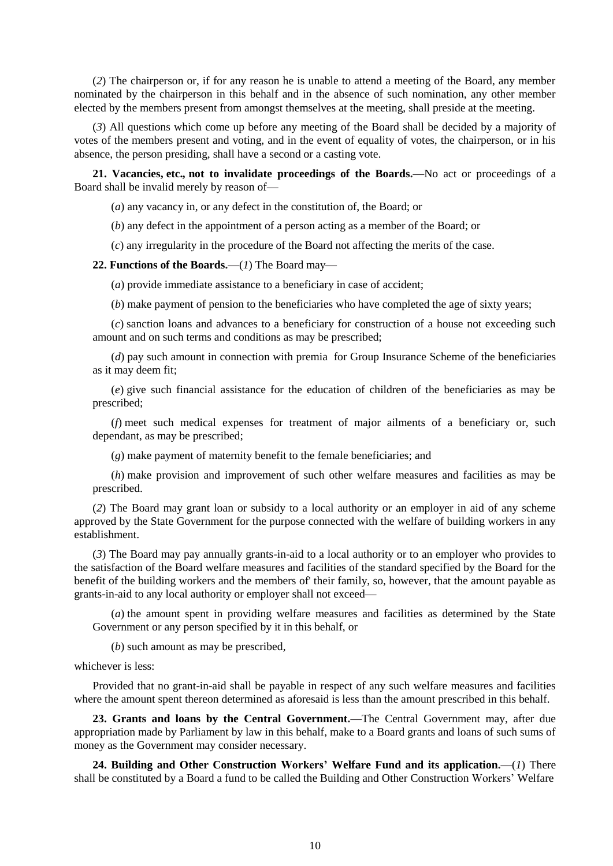(*2*) The chairperson or, if for any reason he is unable to attend a meeting of the Board, any member nominated by the chairperson in this behalf and in the absence of such nomination, any other member elected by the members present from amongst themselves at the meeting, shall preside at the meeting.

(*3*) All questions which come up before any meeting of the Board shall be decided by a majority of votes of the members present and voting, and in the event of equality of votes, the chairperson, or in his absence, the person presiding, shall have a second or a casting vote.

**21. Vacancies, etc.***,* **not to invalidate proceedings of the Boards.—**No act or proceedings of a Board shall be invalid merely by reason of**—**

- (*a*) any vacancy in, or any defect in the constitution of, the Board; or
- (*b*) any defect in the appointment of a person acting as a member of the Board; or

(*c*) any irregularity in the procedure of the Board not affecting the merits of the case.

## **22. Functions of the Boards.—**(*1*) The Board may**—**

(*a*) provide immediate assistance to a beneficiary in case of accident;

(*b*) make payment of pension to the beneficiaries who have completed the age of sixty years;

(*c*) sanction loans and advances to a beneficiary for construction of a house not exceeding such amount and on such terms and conditions as may be prescribed;

(*d*) pay such amount in connection with premia for Group Insurance Scheme of the beneficiaries as it may deem fit;

(*e*) give such financial assistance for the education of children of the beneficiaries as may be prescribed;

(*f*) meet such medical expenses for treatment of major ailments of a beneficiary or, such dependant, as may be prescribed;

(*g*) make payment of maternity benefit to the female beneficiaries; and

(*h*) make provision and improvement of such other welfare measures and facilities as may be prescribed.

(*2*) The Board may grant loan or subsidy to a local authority or an employer in aid of any scheme approved by the State Government for the purpose connected with the welfare of building workers in any establishment.

(*3*) The Board may pay annually grants-in-aid to a local authority or to an employer who provides to the satisfaction of the Board welfare measures and facilities of the standard specified by the Board for the benefit of the building workers and the members of' their family, so, however, that the amount payable as grants-in-aid to any local authority or employer shall not exceed**—**

(*a*) the amount spent in providing welfare measures and facilities as determined by the State Government or any person specified by it in this behalf, or

(*b*) such amount as may be prescribed,

whichever is less:

Provided that no grant-in-aid shall be payable in respect of any such welfare measures and facilities where the amount spent thereon determined as aforesaid is less than the amount prescribed in this behalf.

**23. Grants and loans by the Central Government.—**The Central Government may, after due appropriation made by Parliament by law in this behalf, make to a Board grants and loans of such sums of money as the Government may consider necessary.

**24. Building and Other Construction Workers' Welfare Fund and its application.—**(*1*) There shall be constituted by a Board a fund to be called the Building and Other Construction Workers' Welfare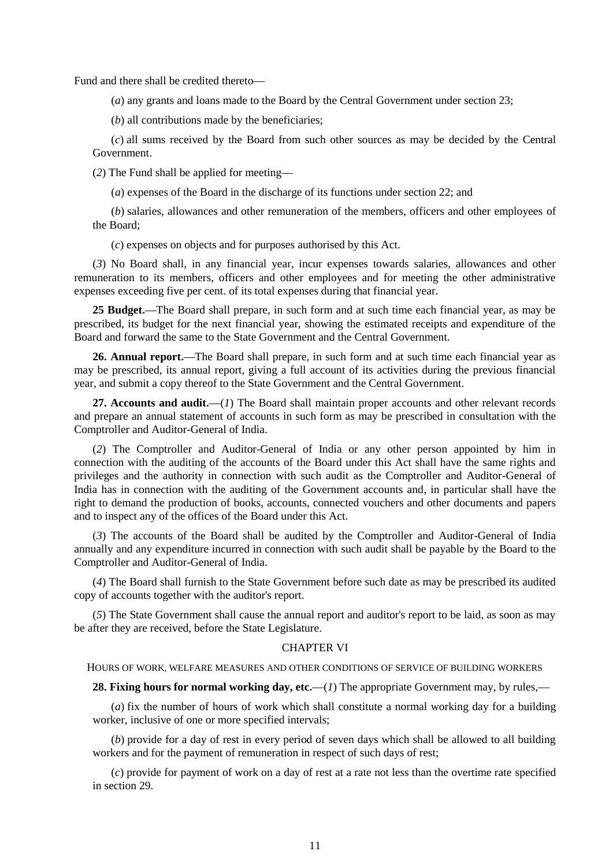Fund and there shall be credited thereto**—**

(*a*) any grants and loans made to the Board by the Central Government under section 23;

(*b*) all contributions made by the beneficiaries;

(*c*) all sums received by the Board from such other sources as may be decided by the Central Government.

(*2*) The Fund shall be applied for meeting**—**

(*a*) expenses of the Board in the discharge of its functions under section 22; and

(*b*) salaries, allowances and other remuneration of the members, officers and other employees of the Board;

(*c*) expenses on objects and for purposes authorised by this Act.

(*3*) No Board shall, in any financial year, incur expenses towards salaries, allowances and other remuneration to its members, officers and other employees and for meeting the other administrative expenses exceeding five per cent. of its total expenses during that financial year.

**25 Budget.—**The Board shall prepare, in such form and at such time each financial year, as may be prescribed, its budget for the next financial year, showing the estimated receipts and expenditure of the Board and forward the same to the State Government and the Central Government.

**26. Annual report.—**The Board shall prepare, in such form and at such time each financial year as may be prescribed, its annual report, giving a full account of its activities during the previous financial year, and submit a copy thereof to the State Government and the Central Government.

**27. Accounts and audit.—**(*1*) The Board shall maintain proper accounts and other relevant records and prepare an annual statement of accounts in such form as may be prescribed in consultation with the Comptroller and Auditor-General of India.

(*2*) The Comptroller and Auditor-General of India or any other person appointed by him in connection with the auditing of the accounts of the Board under this Act shall have the same rights and privileges and the authority in connection with such audit as the Comptroller and Auditor-General of India has in connection with the auditing of the Government accounts and, in particular shall have the right to demand the production of books, accounts, connected vouchers and other documents and papers and to inspect any of the offices of the Board under this Act.

(*3*) The accounts of the Board shall be audited by the Comptroller and Auditor-General of India annually and any expenditure incurred in connection with such audit shall be payable by the Board to the Comptroller and Auditor-General of India.

(*4*) The Board shall furnish to the State Government before such date as may be prescribed its audited copy of accounts together with the auditor's report.

(*5*) The State Government shall cause the annual report and auditor's report to be laid, as soon as may be after they are received, before the State Legislature.

# CHAPTER VI

HOURS OF WORK, WELFARE MEASURES AND OTHER CONDITIONS OF SERVICE OF BUILDING WORKERS

**28. Fixing hours for normal working day, etc.—**(*1*) The appropriate Government may, by rules,**—**

(*a*) fix the number of hours of work which shall constitute a normal working day for a building worker, inclusive of one or more specified intervals;

(*b*) provide for a day of rest in every period of seven days which shall be allowed to all building workers and for the payment of remuneration in respect of such days of rest;

(*c*) provide for payment of work on a day of rest at a rate not less than the overtime rate specified in section 29.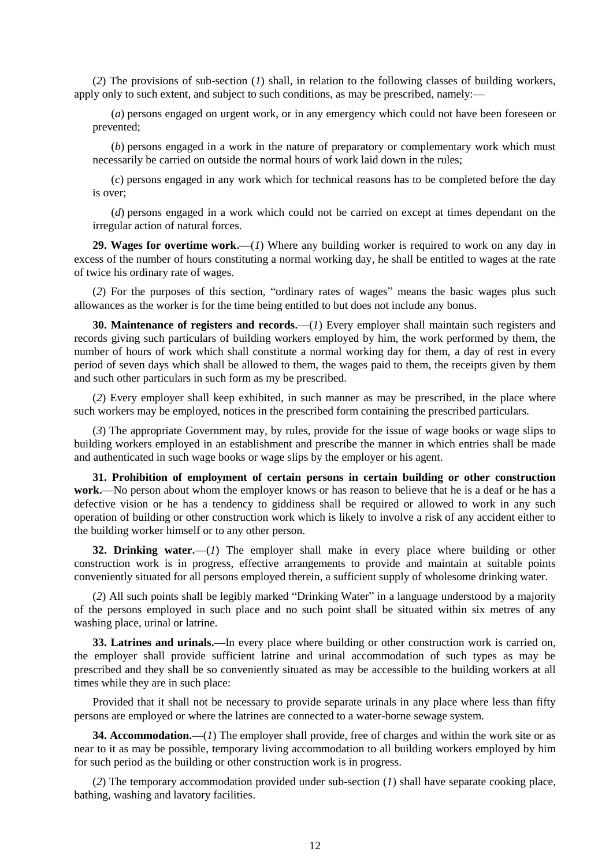(*2*) The provisions of sub-section (*1*) shall, in relation to the following classes of building workers, apply only to such extent, and subject to such conditions, as may be prescribed, namely:**—**

(*a*) persons engaged on urgent work, or in any emergency which could not have been foreseen or prevented;

(*b*) persons engaged in a work in the nature of preparatory or complementary work which must necessarily be carried on outside the normal hours of work laid down in the rules;

(*c*) persons engaged in any work which for technical reasons has to be completed before the day is over;

(*d*) persons engaged in a work which could not be carried on except at times dependant on the irregular action of natural forces.

**29. Wages for overtime work.—**(*1*) Where any building worker is required to work on any day in excess of the number of hours constituting a normal working day, he shall be entitled to wages at the rate of twice his ordinary rate of wages.

(*2*) For the purposes of this section, "ordinary rates of wages" means the basic wages plus such allowances as the worker is for the time being entitled to but does not include any bonus.

**30. Maintenance of registers and records.—**(*1*) Every employer shall maintain such registers and records giving such particulars of building workers employed by him, the work performed by them, the number of hours of work which shall constitute a normal working day for them, a day of rest in every period of seven days which shall be allowed to them, the wages paid to them, the receipts given by them and such other particulars in such form as my be prescribed.

(*2*) Every employer shall keep exhibited, in such manner as may be prescribed, in the place where such workers may be employed, notices in the prescribed form containing the prescribed particulars.

(*3*) The appropriate Government may, by rules, provide for the issue of wage books or wage slips to building workers employed in an establishment and prescribe the manner in which entries shall be made and authenticated in such wage books or wage slips by the employer or his agent.

**31. Prohibition of employment of certain persons in certain building or other construction work.—**No person about whom the employer knows or has reason to believe that he is a deaf or he has a defective vision or he has a tendency to giddiness shall be required or allowed to work in any such operation of building or other construction work which is likely to involve a risk of any accident either to the building worker himself or to any other person.

**32. Drinking water.—**(*1*) The employer shall make in every place where building or other construction work is in progress, effective arrangements to provide and maintain at suitable points conveniently situated for all persons employed therein, a sufficient supply of wholesome drinking water.

(*2*) All such points shall be legibly marked "Drinking Water" in a language understood by a majority of the persons employed in such place and no such point shall be situated within six metres of any washing place, urinal or latrine.

**33. Latrines and urinals.—**In every place where building or other construction work is carried on, the employer shall provide sufficient latrine and urinal accommodation of such types as may be prescribed and they shall be so conveniently situated as may be accessible to the building workers at all times while they are in such place:

Provided that it shall not be necessary to provide separate urinals in any place where less than fifty persons are employed or where the latrines are connected to a water-borne sewage system.

**34. Accommodation.—**(*1*) The employer shall provide, free of charges and within the work site or as near to it as may be possible, temporary living accommodation to all building workers employed by him for such period as the building or other construction work is in progress.

(*2*) The temporary accommodation provided under sub-section (*1*) shall have separate cooking place, bathing, washing and lavatory facilities.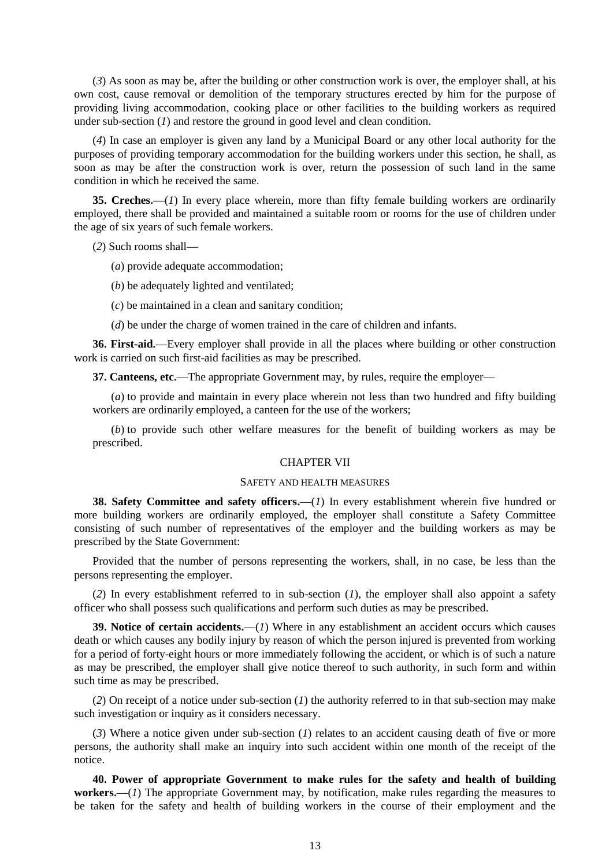(*3*) As soon as may be, after the building or other construction work is over, the employer shall, at his own cost, cause removal or demolition of the temporary structures erected by him for the purpose of providing living accommodation, cooking place or other facilities to the building workers as required under sub-section (*1*) and restore the ground in good level and clean condition.

(*4*) In case an employer is given any land by a Municipal Board or any other local authority for the purposes of providing temporary accommodation for the building workers under this section, he shall, as soon as may be after the construction work is over, return the possession of such land in the same condition in which he received the same.

**35. Creches.—**(*1*) In every place wherein, more than fifty female building workers are ordinarily employed, there shall be provided and maintained a suitable room or rooms for the use of children under the age of six years of such female workers.

(*2*) Such rooms shall**—**

(*a*) provide adequate accommodation;

- (*b*) be adequately lighted and ventilated;
- (*c*) be maintained in a clean and sanitary condition;
- (*d*) be under the charge of women trained in the care of children and infants.

**36. First-aid.—**Every employer shall provide in all the places where building or other construction work is carried on such first-aid facilities as may be prescribed.

**37. Canteens, etc.—**The appropriate Government may, by rules, require the employer**—**

(*a*) to provide and maintain in every place wherein not less than two hundred and fifty building workers are ordinarily employed, a canteen for the use of the workers;

(*b*) to provide such other welfare measures for the benefit of building workers as may be prescribed.

# CHAPTER VII

#### SAFETY AND HEALTH MEASURES

**38. Safety Committee and safety officers.—**(*1*) In every establishment wherein five hundred or more building workers are ordinarily employed, the employer shall constitute a Safety Committee consisting of such number of representatives of the employer and the building workers as may be prescribed by the State Government:

Provided that the number of persons representing the workers, shall, in no case, be less than the persons representing the employer.

(*2*) In every establishment referred to in sub-section (*1*), the employer shall also appoint a safety officer who shall possess such qualifications and perform such duties as may be prescribed.

**39. Notice of certain accidents.—**(*1*) Where in any establishment an accident occurs which causes death or which causes any bodily injury by reason of which the person injured is prevented from working for a period of forty-eight hours or more immediately following the accident, or which is of such a nature as may be prescribed, the employer shall give notice thereof to such authority, in such form and within such time as may be prescribed.

(*2*) On receipt of a notice under sub-section (*1*) the authority referred to in that sub-section may make such investigation or inquiry as it considers necessary.

(*3*) Where a notice given under sub-section (*1*) relates to an accident causing death of five or more persons, the authority shall make an inquiry into such accident within one month of the receipt of the notice.

**40. Power of appropriate Government to make rules for the safety and health of building workers.—**(*1*) The appropriate Government may, by notification, make rules regarding the measures to be taken for the safety and health of building workers in the course of their employment and the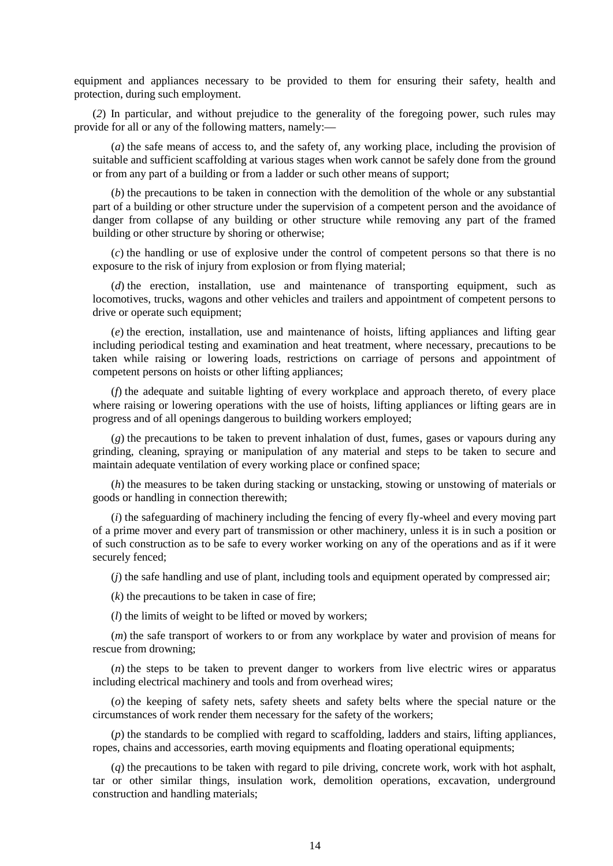equipment and appliances necessary to be provided to them for ensuring their safety, health and protection, during such employment.

(*2*) In particular, and without prejudice to the generality of the foregoing power, such rules may provide for all or any of the following matters, namely:**—**

(*a*) the safe means of access to, and the safety of, any working place, including the provision of suitable and sufficient scaffolding at various stages when work cannot be safely done from the ground or from any part of a building or from a ladder or such other means of support;

(*b*) the precautions to be taken in connection with the demolition of the whole or any substantial part of a building or other structure under the supervision of a competent person and the avoidance of danger from collapse of any building or other structure while removing any part of the framed building or other structure by shoring or otherwise;

(*c*) the handling or use of explosive under the control of competent persons so that there is no exposure to the risk of injury from explosion or from flying material;

(*d*) the erection, installation, use and maintenance of transporting equipment, such as locomotives, trucks, wagons and other vehicles and trailers and appointment of competent persons to drive or operate such equipment;

(*e*) the erection, installation, use and maintenance of hoists, lifting appliances and lifting gear including periodical testing and examination and heat treatment, where necessary, precautions to be taken while raising or lowering loads, restrictions on carriage of persons and appointment of competent persons on hoists or other lifting appliances;

(*f*) the adequate and suitable lighting of every workplace and approach thereto, of every place where raising or lowering operations with the use of hoists, lifting appliances or lifting gears are in progress and of all openings dangerous to building workers employed;

(*g*) the precautions to be taken to prevent inhalation of dust, fumes, gases or vapours during any grinding, cleaning, spraying or manipulation of any material and steps to be taken to secure and maintain adequate ventilation of every working place or confined space;

(*h*) the measures to be taken during stacking or unstacking, stowing or unstowing of materials or goods or handling in connection therewith;

(*i*) the safeguarding of machinery including the fencing of every fly-wheel and every moving part of a prime mover and every part of transmission or other machinery, unless it is in such a position or of such construction as to be safe to every worker working on any of the operations and as if it were securely fenced;

(*j*) the safe handling and use of plant, including tools and equipment operated by compressed air;

(*k*) the precautions to be taken in case of fire;

(*l*) the limits of weight to be lifted or moved by workers;

(*m*) the safe transport of workers to or from any workplace by water and provision of means for rescue from drowning;

(*n*) the steps to be taken to prevent danger to workers from live electric wires or apparatus including electrical machinery and tools and from overhead wires;

(*o*) the keeping of safety nets, safety sheets and safety belts where the special nature or the circumstances of work render them necessary for the safety of the workers;

(*p*) the standards to be complied with regard to scaffolding, ladders and stairs, lifting appliances, ropes, chains and accessories, earth moving equipments and floating operational equipments;

(*q*) the precautions to be taken with regard to pile driving, concrete work, work with hot asphalt, tar or other similar things, insulation work, demolition operations, excavation, underground construction and handling materials;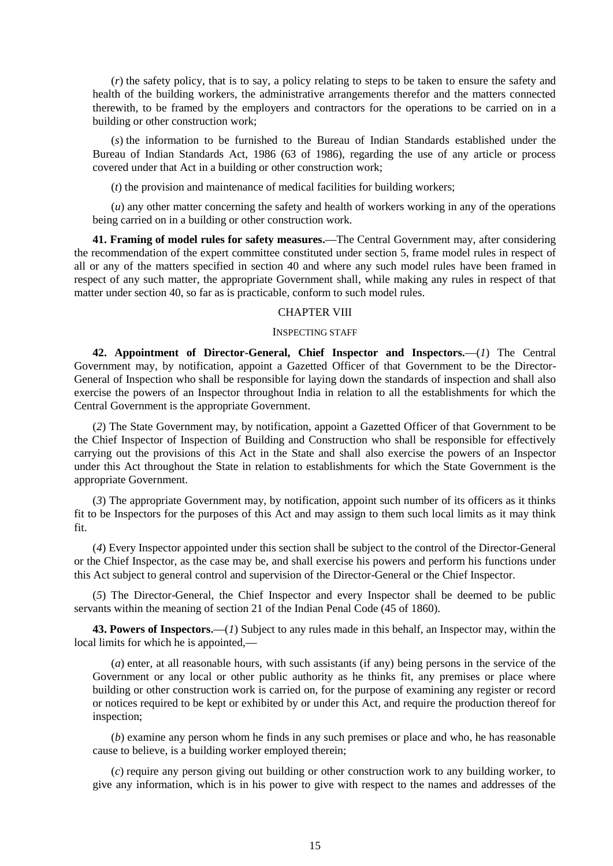(*r*) the safety policy, that is to say, a policy relating to steps to be taken to ensure the safety and health of the building workers, the administrative arrangements therefor and the matters connected therewith, to be framed by the employers and contractors for the operations to be carried on in a building or other construction work;

(*s*) the information to be furnished to the Bureau of Indian Standards established under the Bureau of Indian Standards Act, 1986 (63 of 1986), regarding the use of any article or process covered under that Act in a building or other construction work;

(*t*) the provision and maintenance of medical facilities for building workers;

(*u*) any other matter concerning the safety and health of workers working in any of the operations being carried on in a building or other construction work.

**41. Framing of model rules for safety measures.—**The Central Government may, after considering the recommendation of the expert committee constituted under section 5, frame model rules in respect of all or any of the matters specified in section 40 and where any such model rules have been framed in respect of any such matter, the appropriate Government shall, while making any rules in respect of that matter under section 40, so far as is practicable, conform to such model rules.

# CHAPTER VIII

### INSPECTING STAFF

**42. Appointment of Director-General, Chief Inspector and Inspectors.—**(*1*) The Central Government may, by notification, appoint a Gazetted Officer of that Government to be the Director-General of Inspection who shall be responsible for laying down the standards of inspection and shall also exercise the powers of an Inspector throughout India in relation to all the establishments for which the Central Government is the appropriate Government.

(*2*) The State Government may, by notification, appoint a Gazetted Officer of that Government to be the Chief Inspector of Inspection of Building and Construction who shall be responsible for effectively carrying out the provisions of this Act in the State and shall also exercise the powers of an Inspector under this Act throughout the State in relation to establishments for which the State Government is the appropriate Government.

(*3*) The appropriate Government may, by notification, appoint such number of its officers as it thinks fit to be Inspectors for the purposes of this Act and may assign to them such local limits as it may think fit.

(*4*) Every Inspector appointed under this section shall be subject to the control of the Director-General or the Chief Inspector, as the case may be, and shall exercise his powers and perform his functions under this Act subject to general control and supervision of the Director-General or the Chief Inspector.

(*5*) The Director-General, the Chief Inspector and every Inspector shall be deemed to be public servants within the meaning of section 21 of the Indian Penal Code (45 of 1860).

**43. Powers of Inspectors.—**(*1*) Subject to any rules made in this behalf, an Inspector may, within the local limits for which he is appointed,**—**

(*a*) enter, at all reasonable hours, with such assistants (if any) being persons in the service of the Government or any local or other public authority as he thinks fit, any premises or place where building or other construction work is carried on, for the purpose of examining any register or record or notices required to be kept or exhibited by or under this Act, and require the production thereof for inspection;

(*b*) examine any person whom he finds in any such premises or place and who, he has reasonable cause to believe, is a building worker employed therein;

(*c*) require any person giving out building or other construction work to any building worker, to give any information, which is in his power to give with respect to the names and addresses of the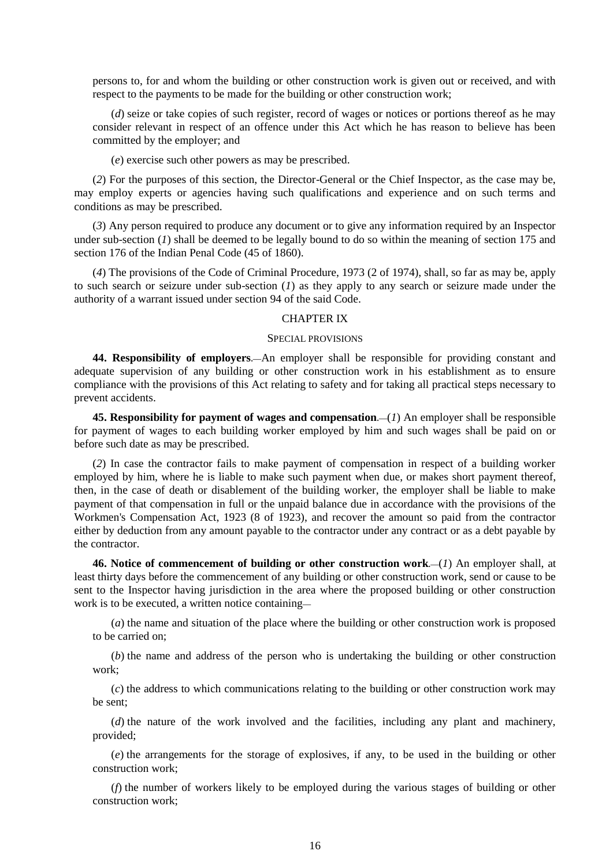persons to, for and whom the building or other construction work is given out or received, and with respect to the payments to be made for the building or other construction work;

(*d*) seize or take copies of such register, record of wages or notices or portions thereof as he may consider relevant in respect of an offence under this Act which he has reason to believe has been committed by the employer; and

(*e*) exercise such other powers as may be prescribed.

(*2*) For the purposes of this section, the Director-General or the Chief Inspector, as the case may be, may employ experts or agencies having such qualifications and experience and on such terms and conditions as may be prescribed.

(*3*) Any person required to produce any document or to give any information required by an Inspector under sub-section (*1*) shall be deemed to be legally bound to do so within the meaning of section 175 and section 176 of the Indian Penal Code (45 of 1860).

(*4*) The provisions of the Code of Criminal Procedure, 1973 (2 of 1974), shall, so far as may be, apply to such search or seizure under sub-section (*1*) as they apply to any search or seizure made under the authority of a warrant issued under section 94 of the said Code.

## CHAPTER IX

### SPECIAL PROVISIONS

**44. Responsibility of employers.—**An employer shall be responsible for providing constant and adequate supervision of any building or other construction work in his establishment as to ensure compliance with the provisions of this Act relating to safety and for taking all practical steps necessary to prevent accidents.

**45. Responsibility for payment of wages and compensation.—**(*1*) An employer shall be responsible for payment of wages to each building worker employed by him and such wages shall be paid on or before such date as may be prescribed.

(*2*) In case the contractor fails to make payment of compensation in respect of a building worker employed by him, where he is liable to make such payment when due, or makes short payment thereof, then, in the case of death or disablement of the building worker, the employer shall be liable to make payment of that compensation in full or the unpaid balance due in accordance with the provisions of the Workmen's Compensation Act, 1923 (8 of 1923), and recover the amount so paid from the contractor either by deduction from any amount payable to the contractor under any contract or as a debt payable by the contractor.

**46. Notice of commencement of building or other construction work.—**(*1*) An employer shall, at least thirty days before the commencement of any building or other construction work, send or cause to be sent to the Inspector having jurisdiction in the area where the proposed building or other construction work is to be executed, a written notice containing**—**

(*a*) the name and situation of the place where the building or other construction work is proposed to be carried on;

(*b*) the name and address of the person who is undertaking the building or other construction work;

(*c*) the address to which communications relating to the building or other construction work may be sent;

(*d*) the nature of the work involved and the facilities, including any plant and machinery, provided;

(*e*) the arrangements for the storage of explosives, if any, to be used in the building or other construction work;

(*f*) the number of workers likely to be employed during the various stages of building or other construction work;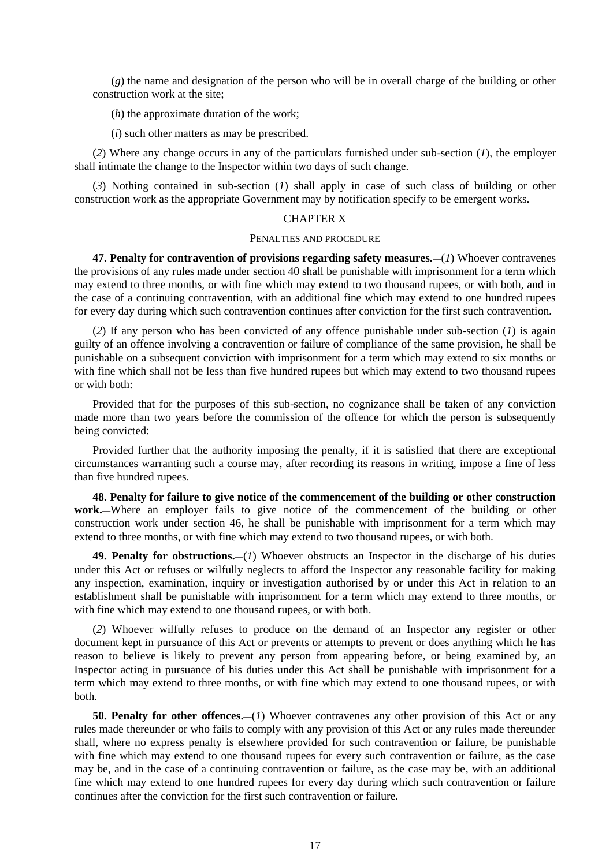(*g*) the name and designation of the person who will be in overall charge of the building or other construction work at the site;

(*h*) the approximate duration of the work;

(*i*) such other matters as may be prescribed.

(*2*) Where any change occurs in any of the particulars furnished under sub-section (*1*), the employer shall intimate the change to the Inspector within two days of such change.

(*3*) Nothing contained in sub-section (*1*) shall apply in case of such class of building or other construction work as the appropriate Government may by notification specify to be emergent works.

## CHAPTER X

#### PENALTIES AND PROCEDURE

**47. Penalty for contravention of provisions regarding safety measures.—**(*1*) Whoever contravenes the provisions of any rules made under section 40 shall be punishable with imprisonment for a term which may extend to three months, or with fine which may extend to two thousand rupees, or with both, and in the case of a continuing contravention, with an additional fine which may extend to one hundred rupees for every day during which such contravention continues after conviction for the first such contravention.

(*2*) If any person who has been convicted of any offence punishable under sub-section (*1*) is again guilty of an offence involving a contravention or failure of compliance of the same provision, he shall be punishable on a subsequent conviction with imprisonment for a term which may extend to six months or with fine which shall not be less than five hundred rupees but which may extend to two thousand rupees or with both:

Provided that for the purposes of this sub-section, no cognizance shall be taken of any conviction made more than two years before the commission of the offence for which the person is subsequently being convicted:

Provided further that the authority imposing the penalty, if it is satisfied that there are exceptional circumstances warranting such a course may, after recording its reasons in writing, impose a fine of less than five hundred rupees.

**48. Penalty for failure to give notice of the commencement of the building or other construction work.—**Where an employer fails to give notice of the commencement of the building or other construction work under section 46, he shall be punishable with imprisonment for a term which may extend to three months, or with fine which may extend to two thousand rupees, or with both.

**49. Penalty for obstructions.** (*1*) Whoever obstructs an Inspector in the discharge of his duties under this Act or refuses or wilfully neglects to afford the Inspector any reasonable facility for making any inspection, examination, inquiry or investigation authorised by or under this Act in relation to an establishment shall be punishable with imprisonment for a term which may extend to three months, or with fine which may extend to one thousand rupees, or with both.

(*2*) Whoever wilfully refuses to produce on the demand of an Inspector any register or other document kept in pursuance of this Act or prevents or attempts to prevent or does anything which he has reason to believe is likely to prevent any person from appearing before, or being examined by, an Inspector acting in pursuance of his duties under this Act shall be punishable with imprisonment for a term which may extend to three months, or with fine which may extend to one thousand rupees, or with both.

**50. Penalty for other offences.—(***1***)** Whoever contravenes any other provision of this Act or any rules made thereunder or who fails to comply with any provision of this Act or any rules made thereunder shall, where no express penalty is elsewhere provided for such contravention or failure, be punishable with fine which may extend to one thousand rupees for every such contravention or failure, as the case may be, and in the case of a continuing contravention or failure, as the case may be, with an additional fine which may extend to one hundred rupees for every day during which such contravention or failure continues after the conviction for the first such contravention or failure.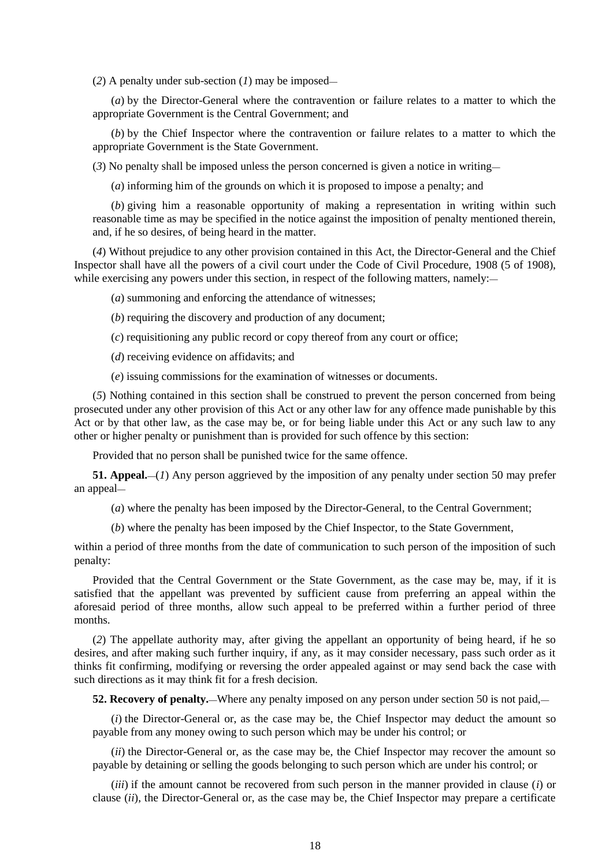(*2*) A penalty under sub-section (*1*) may be imposed**—**

(*a*) by the Director-General where the contravention or failure relates to a matter to which the appropriate Government is the Central Government; and

(*b*) by the Chief Inspector where the contravention or failure relates to a matter to which the appropriate Government is the State Government.

(*3*) No penalty shall be imposed unless the person concerned is given a notice in writing**—**

(*a*) informing him of the grounds on which it is proposed to impose a penalty; and

(*b*) giving him a reasonable opportunity of making a representation in writing within such reasonable time as may be specified in the notice against the imposition of penalty mentioned therein, and, if he so desires, of being heard in the matter.

(*4*) Without prejudice to any other provision contained in this Act, the Director-General and the Chief Inspector shall have all the powers of a civil court under the Code of Civil Procedure, 1908 (5 of 1908), while exercising any powers under this section, in respect of the following matters, namely:—

(*a*) summoning and enforcing the attendance of witnesses;

(*b*) requiring the discovery and production of any document;

(*c*) requisitioning any public record or copy thereof from any court or office;

(*d*) receiving evidence on affidavits; and

(*e*) issuing commissions for the examination of witnesses or documents.

(*5*) Nothing contained in this section shall be construed to prevent the person concerned from being prosecuted under any other provision of this Act or any other law for any offence made punishable by this Act or by that other law, as the case may be, or for being liable under this Act or any such law to any other or higher penalty or punishment than is provided for such offence by this section:

Provided that no person shall be punished twice for the same offence.

**51. Appeal.**—(*1*) Any person aggrieved by the imposition of any penalty under section 50 may prefer an appeal**—**

(*a*) where the penalty has been imposed by the Director-General, to the Central Government;

(*b*) where the penalty has been imposed by the Chief Inspector, to the State Government,

within a period of three months from the date of communication to such person of the imposition of such penalty:

Provided that the Central Government or the State Government, as the case may be, may, if it is satisfied that the appellant was prevented by sufficient cause from preferring an appeal within the aforesaid period of three months, allow such appeal to be preferred within a further period of three months.

(*2*) The appellate authority may, after giving the appellant an opportunity of being heard, if he so desires, and after making such further inquiry, if any, as it may consider necessary, pass such order as it thinks fit confirming, modifying or reversing the order appealed against or may send back the case with such directions as it may think fit for a fresh decision.

**52. Recovery of penalty.—**Where any penalty imposed on any person under section 50 is not paid,**—**

(*i*) the Director-General or, as the case may be, the Chief Inspector may deduct the amount so payable from any money owing to such person which may be under his control; or

(*ii*) the Director-General or, as the case may be, the Chief Inspector may recover the amount so payable by detaining or selling the goods belonging to such person which are under his control; or

(*iii*) if the amount cannot be recovered from such person in the manner provided in clause (*i*) or clause (*ii*), the Director-General or, as the case may be, the Chief Inspector may prepare a certificate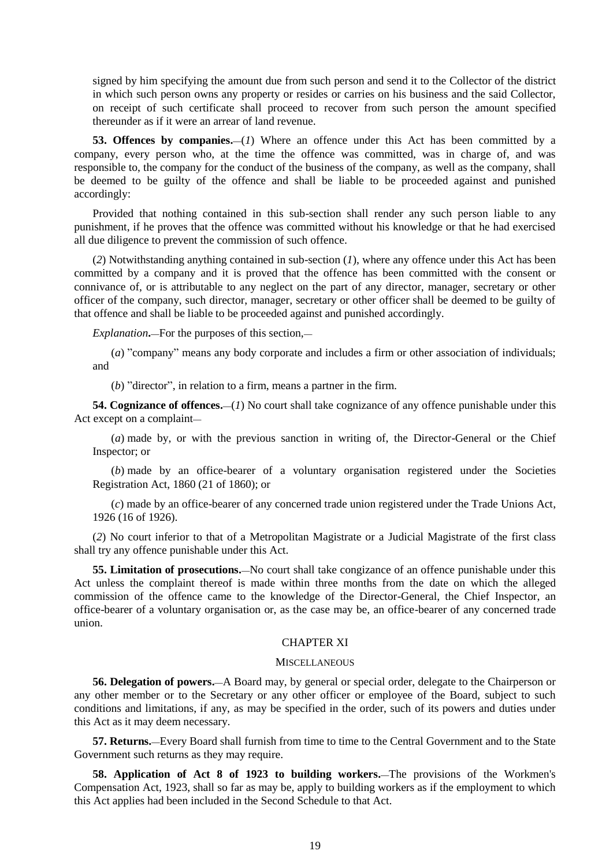signed by him specifying the amount due from such person and send it to the Collector of the district in which such person owns any property or resides or carries on his business and the said Collector, on receipt of such certificate shall proceed to recover from such person the amount specified thereunder as if it were an arrear of land revenue.

**53. Offences by companies.—(1)** Where an offence under this Act has been committed by a company, every person who, at the time the offence was committed, was in charge of, and was responsible to, the company for the conduct of the business of the company, as well as the company, shall be deemed to be guilty of the offence and shall be liable to be proceeded against and punished accordingly:

Provided that nothing contained in this sub-section shall render any such person liable to any punishment, if he proves that the offence was committed without his knowledge or that he had exercised all due diligence to prevent the commission of such offence.

(*2*) Notwithstanding anything contained in sub-section (*1*), where any offence under this Act has been committed by a company and it is proved that the offence has been committed with the consent or connivance of, or is attributable to any neglect on the part of any director, manager, secretary or other officer of the company, such director, manager, secretary or other officer shall be deemed to be guilty of that offence and shall be liable to be proceeded against and punished accordingly.

*Explanation***.—**For the purposes of this section,**—**

(*a*) "company" means any body corporate and includes a firm or other association of individuals; and

(*b*) "director", in relation to a firm, means a partner in the firm.

**54. Cognizance of offences.—(***1***)** No court shall take cognizance of any offence punishable under this Act except on a complaint**—**

(*a*) made by, or with the previous sanction in writing of, the Director-General or the Chief Inspector; or

(*b*) made by an office-bearer of a voluntary organisation registered under the Societies Registration Act, 1860 (21 of 1860); or

(*c*) made by an office-bearer of any concerned trade union registered under the Trade Unions Act, 1926 (16 of 1926).

(*2*) No court inferior to that of a Metropolitan Magistrate or a Judicial Magistrate of the first class shall try any offence punishable under this Act.

**55. Limitation of prosecutions.—**No court shall take congizance of an offence punishable under this Act unless the complaint thereof is made within three months from the date on which the alleged commission of the offence came to the knowledge of the Director-General, the Chief Inspector, an office-bearer of a voluntary organisation or, as the case may be, an office-bearer of any concerned trade union.

#### CHAPTER XI

#### **MISCELLANEOUS**

**56. Delegation of powers.—**A Board may, by general or special order, delegate to the Chairperson or any other member or to the Secretary or any other officer or employee of the Board, subject to such conditions and limitations, if any, as may be specified in the order, such of its powers and duties under this Act as it may deem necessary.

**57. Returns.—**Every Board shall furnish from time to time to the Central Government and to the State Government such returns as they may require.

**58. Application of Act 8 of 1923 to building workers.—**The provisions of the Workmen's Compensation Act, 1923, shall so far as may be, apply to building workers as if the employment to which this Act applies had been included in the Second Schedule to that Act.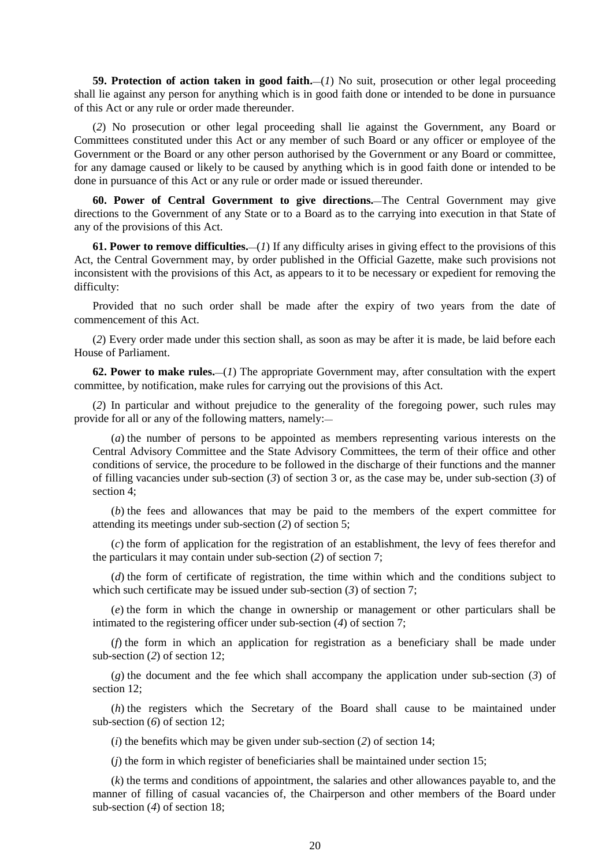**59. Protection of action taken in good faith.**—(*1*) No suit, prosecution or other legal proceeding shall lie against any person for anything which is in good faith done or intended to be done in pursuance of this Act or any rule or order made thereunder.

(*2*) No prosecution or other legal proceeding shall lie against the Government, any Board or Committees constituted under this Act or any member of such Board or any officer or employee of the Government or the Board or any other person authorised by the Government or any Board or committee, for any damage caused or likely to be caused by anything which is in good faith done or intended to be done in pursuance of this Act or any rule or order made or issued thereunder.

**60. Power of Central Government to give directions.—**The Central Government may give directions to the Government of any State or to a Board as to the carrying into execution in that State of any of the provisions of this Act.

**61. Power to remove difficulties.—(***1***)** If any difficulty arises in giving effect to the provisions of this Act, the Central Government may, by order published in the Official Gazette, make such provisions not inconsistent with the provisions of this Act, as appears to it to be necessary or expedient for removing the difficulty:

Provided that no such order shall be made after the expiry of two years from the date of commencement of this Act.

(*2*) Every order made under this section shall, as soon as may be after it is made, be laid before each House of Parliament.

**62. Power to make rules.** (*1*) The appropriate Government may, after consultation with the expert committee, by notification, make rules for carrying out the provisions of this Act.

(*2*) In particular and without prejudice to the generality of the foregoing power, such rules may provide for all or any of the following matters, namely:**—**

(*a*) the number of persons to be appointed as members representing various interests on the Central Advisory Committee and the State Advisory Committees, the term of their office and other conditions of service, the procedure to be followed in the discharge of their functions and the manner of filling vacancies under sub-section (*3*) of section 3 or, as the case may be, under sub-section (*3*) of section 4<sup>.</sup>

(*b*) the fees and allowances that may be paid to the members of the expert committee for attending its meetings under sub-section (*2*) of section 5;

(*c*) the form of application for the registration of an establishment, the levy of fees therefor and the particulars it may contain under sub-section (*2*) of section 7;

(*d*) the form of certificate of registration, the time within which and the conditions subject to which such certificate may be issued under sub-section (*3*) of section 7;

(*e*) the form in which the change in ownership or management or other particulars shall be intimated to the registering officer under sub-section (*4*) of section 7;

(*f*) the form in which an application for registration as a beneficiary shall be made under sub-section (*2*) of section 12;

(*g*) the document and the fee which shall accompany the application under sub-section (*3*) of section 12;

(*h*) the registers which the Secretary of the Board shall cause to be maintained under sub-section (*6*) of section 12;

(*i*) the benefits which may be given under sub-section (*2*) of section 14;

(*j*) the form in which register of beneficiaries shall be maintained under section 15;

(*k*) the terms and conditions of appointment, the salaries and other allowances payable to, and the manner of filling of casual vacancies of, the Chairperson and other members of the Board under sub-section (*4*) of section 18;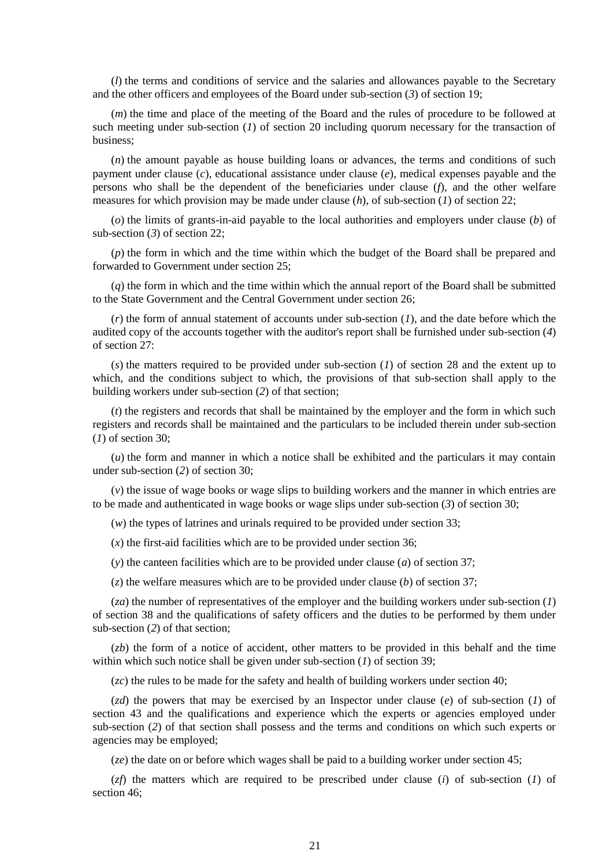(*l*) the terms and conditions of service and the salaries and allowances payable to the Secretary and the other officers and employees of the Board under sub-section (*3*) of section 19;

(*m*) the time and place of the meeting of the Board and the rules of procedure to be followed at such meeting under sub-section (*1*) of section 20 including quorum necessary for the transaction of business;

(*n*) the amount payable as house building loans or advances, the terms and conditions of such payment under clause (*c*), educational assistance under clause (*e*), medical expenses payable and the persons who shall be the dependent of the beneficiaries under clause (*f*), and the other welfare measures for which provision may be made under clause (*h*), of sub-section (*1*) of section 22;

(*o*) the limits of grants-in-aid payable to the local authorities and employers under clause (*b*) of sub-section (*3*) of section 22;

(*p*) the form in which and the time within which the budget of the Board shall be prepared and forwarded to Government under section 25;

(*q*) the form in which and the time within which the annual report of the Board shall be submitted to the State Government and the Central Government under section 26;

(*r*) the form of annual statement of accounts under sub-section (*1*), and the date before which the audited copy of the accounts together with the auditor's report shall be furnished under sub-section (*4*) of section 27:

(*s*) the matters required to be provided under sub-section (*1*) of section 28 and the extent up to which, and the conditions subject to which, the provisions of that sub-section shall apply to the building workers under sub-section (*2*) of that section;

(*t*) the registers and records that shall be maintained by the employer and the form in which such registers and records shall be maintained and the particulars to be included therein under sub-section (*1*) of section 30;

(*u*) the form and manner in which a notice shall be exhibited and the particulars it may contain under sub-section (*2*) of section 30;

(*v*) the issue of wage books or wage slips to building workers and the manner in which entries are to be made and authenticated in wage books or wage slips under sub-section (*3*) of section 30;

(*w*) the types of latrines and urinals required to be provided under section 33;

 $(x)$  the first-aid facilities which are to be provided under section 36;

(*y*) the canteen facilities which are to be provided under clause (*a*) of section 37;

(*z*) the welfare measures which are to be provided under clause (*b*) of section 37;

(*za*) the number of representatives of the employer and the building workers under sub-section (*1*) of section 38 and the qualifications of safety officers and the duties to be performed by them under sub-section (*2*) of that section;

(*zb*) the form of a notice of accident, other matters to be provided in this behalf and the time within which such notice shall be given under sub-section (*1*) of section 39;

(*zc*) the rules to be made for the safety and health of building workers under section 40;

(*zd*) the powers that may be exercised by an Inspector under clause (*e*) of sub-section (*1*) of section 43 and the qualifications and experience which the experts or agencies employed under sub-section (*2*) of that section shall possess and the terms and conditions on which such experts or agencies may be employed;

(*ze*) the date on or before which wages shall be paid to a building worker under section 45;

(*zf*) the matters which are required to be prescribed under clause (*i*) of sub-section (*1*) of section 46;